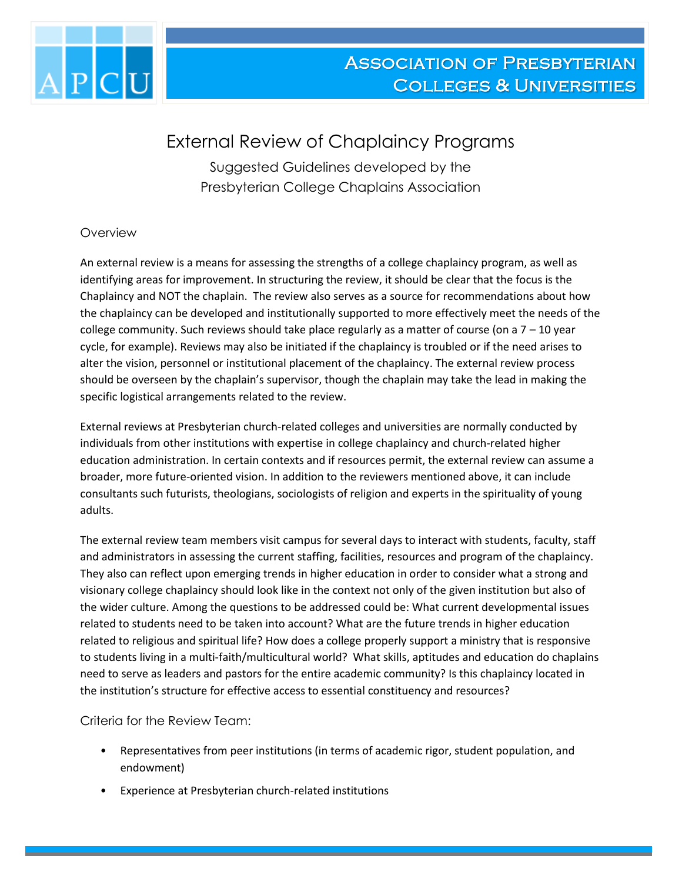

## External Review of Chaplaincy Programs

Suggested Guidelines developed by the Presbyterian College Chaplains Association

## **Overview**

An external review is a means for assessing the strengths of a college chaplaincy program, as well as identifying areas for improvement. In structuring the review, it should be clear that the focus is the Chaplaincy and NOT the chaplain. The review also serves as a source for recommendations about how the chaplaincy can be developed and institutionally supported to more effectively meet the needs of the college community. Such reviews should take place regularly as a matter of course (on a  $7 - 10$  year cycle, for example). Reviews may also be initiated if the chaplaincy is troubled or if the need arises to alter the vision, personnel or institutional placement of the chaplaincy. The external review process should be overseen by the chaplain's supervisor, though the chaplain may take the lead in making the specific logistical arrangements related to the review.

External reviews at Presbyterian church-related colleges and universities are normally conducted by individuals from other institutions with expertise in college chaplaincy and church-related higher education administration. In certain contexts and if resources permit, the external review can assume a broader, more future-oriented vision. In addition to the reviewers mentioned above, it can include consultants such futurists, theologians, sociologists of religion and experts in the spirituality of young adults.

The external review team members visit campus for several days to interact with students, faculty, staff and administrators in assessing the current staffing, facilities, resources and program of the chaplaincy. They also can reflect upon emerging trends in higher education in order to consider what a strong and visionary college chaplaincy should look like in the context not only of the given institution but also of the wider culture. Among the questions to be addressed could be: What current developmental issues related to students need to be taken into account? What are the future trends in higher education related to religious and spiritual life? How does a college properly support a ministry that is responsive to students living in a multi-faith/multicultural world? What skills, aptitudes and education do chaplains need to serve as leaders and pastors for the entire academic community? Is this chaplaincy located in the institution's structure for effective access to essential constituency and resources?

Criteria for the Review Team:

- Representatives from peer institutions (in terms of academic rigor, student population, and endowment)
- Experience at Presbyterian church-related institutions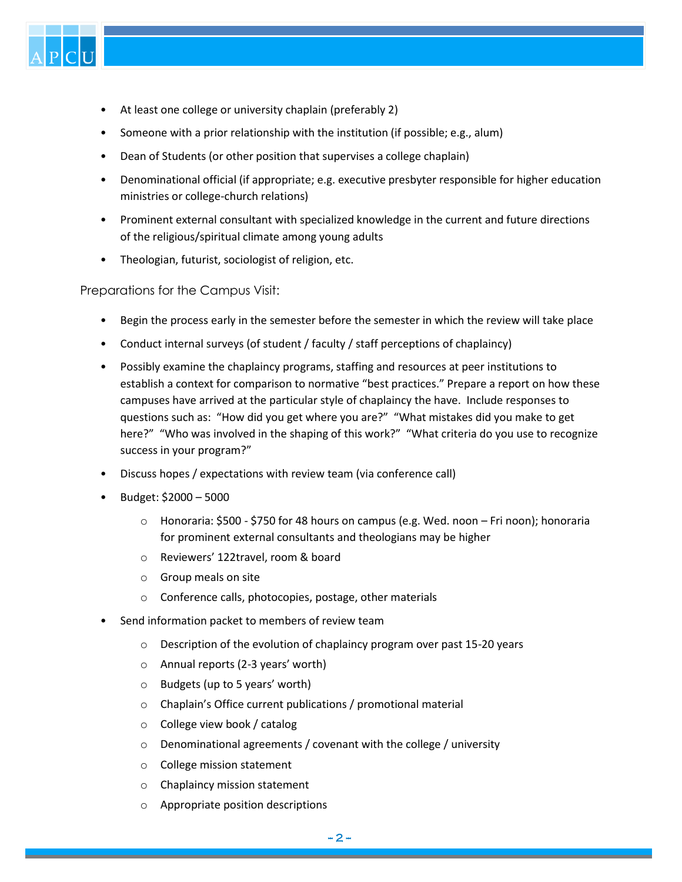

- At least one college or university chaplain (preferably 2)
- Someone with a prior relationship with the institution (if possible; e.g., alum)
- Dean of Students (or other position that supervises a college chaplain)
- Denominational official (if appropriate; e.g. executive presbyter responsible for higher education ministries or college-church relations)
- Prominent external consultant with specialized knowledge in the current and future directions of the religious/spiritual climate among young adults
- Theologian, futurist, sociologist of religion, etc.

Preparations for the Campus Visit:

- Begin the process early in the semester before the semester in which the review will take place
- Conduct internal surveys (of student / faculty / staff perceptions of chaplaincy)
- Possibly examine the chaplaincy programs, staffing and resources at peer institutions to establish a context for comparison to normative "best practices." Prepare a report on how these campuses have arrived at the particular style of chaplaincy the have. Include responses to questions such as: "How did you get where you are?" "What mistakes did you make to get here?" "Who was involved in the shaping of this work?" "What criteria do you use to recognize success in your program?"
- Discuss hopes / expectations with review team (via conference call)
- Budget: \$2000 5000
	- o Honoraria: \$500 \$750 for 48 hours on campus (e.g. Wed. noon Fri noon); honoraria for prominent external consultants and theologians may be higher
	- o Reviewers' 122travel, room & board
	- o Group meals on site
	- o Conference calls, photocopies, postage, other materials
- Send information packet to members of review team
	- o Description of the evolution of chaplaincy program over past 15-20 years
	- o Annual reports (2-3 years' worth)
	- o Budgets (up to 5 years' worth)
	- o Chaplain's Office current publications / promotional material
	- o College view book / catalog
	- o Denominational agreements / covenant with the college / university
	- o College mission statement
	- o Chaplaincy mission statement
	- Appropriate position descriptions